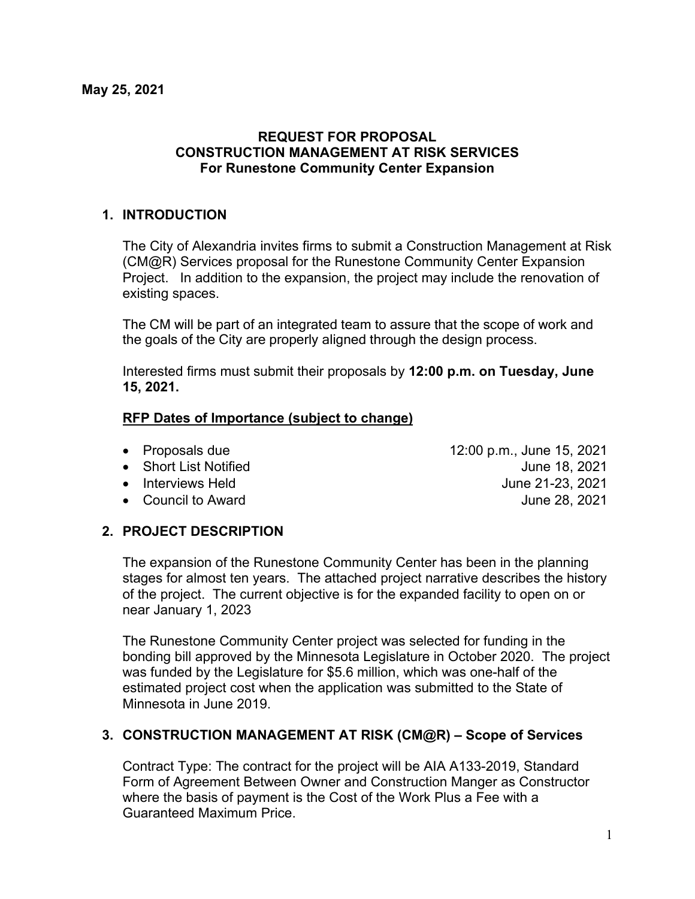#### **REQUEST FOR PROPOSAL CONSTRUCTION MANAGEMENT AT RISK SERVICES For Runestone Community Center Expansion**

### **1. INTRODUCTION**

The City of Alexandria invites firms to submit a Construction Management at Risk (CM@R) Services proposal for the Runestone Community Center Expansion Project. In addition to the expansion, the project may include the renovation of existing spaces.

The CM will be part of an integrated team to assure that the scope of work and the goals of the City are properly aligned through the design process.

Interested firms must submit their proposals by **12:00 p.m. on Tuesday, June 15, 2021.**

#### **RFP Dates of Importance (subject to change)**

- 
- 
- 
- 

#### • Proposals due 12:00 p.m., June 15, 2021 • Short List Notified June 18, 2021 • Interviews Held June 21-23, 2021 • Council to Award **June 28, 2021**

# **2. PROJECT DESCRIPTION**

The expansion of the Runestone Community Center has been in the planning stages for almost ten years. The attached project narrative describes the history of the project. The current objective is for the expanded facility to open on or near January 1, 2023

The Runestone Community Center project was selected for funding in the bonding bill approved by the Minnesota Legislature in October 2020. The project was funded by the Legislature for \$5.6 million, which was one-half of the estimated project cost when the application was submitted to the State of Minnesota in June 2019.

# **3. CONSTRUCTION MANAGEMENT AT RISK (CM@R) – Scope of Services**

Contract Type: The contract for the project will be AIA A133-2019, Standard Form of Agreement Between Owner and Construction Manger as Constructor where the basis of payment is the Cost of the Work Plus a Fee with a Guaranteed Maximum Price.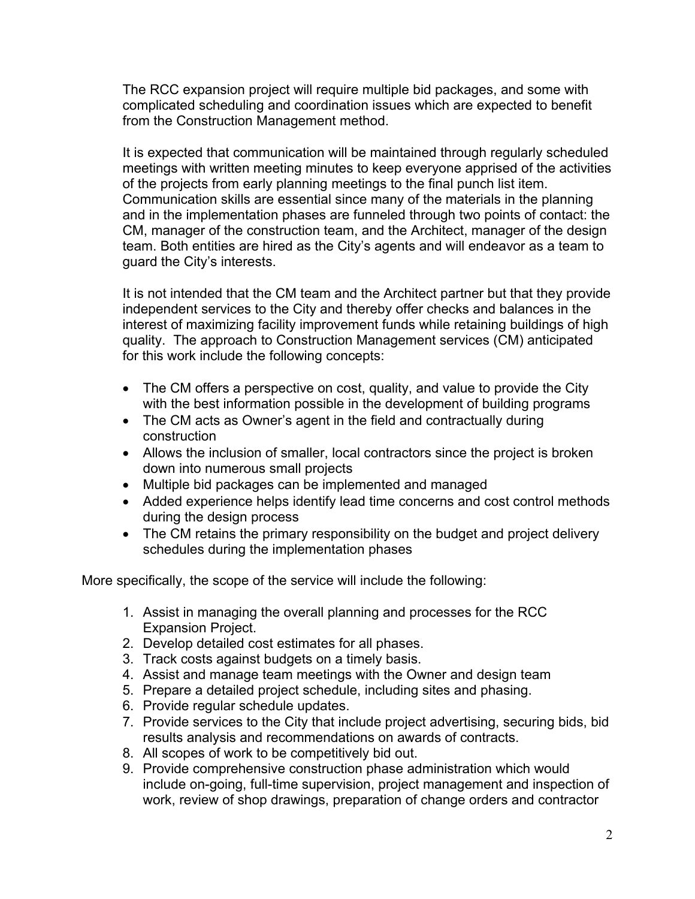The RCC expansion project will require multiple bid packages, and some with complicated scheduling and coordination issues which are expected to benefit from the Construction Management method.

It is expected that communication will be maintained through regularly scheduled meetings with written meeting minutes to keep everyone apprised of the activities of the projects from early planning meetings to the final punch list item. Communication skills are essential since many of the materials in the planning and in the implementation phases are funneled through two points of contact: the CM, manager of the construction team, and the Architect, manager of the design team. Both entities are hired as the City's agents and will endeavor as a team to guard the City's interests.

It is not intended that the CM team and the Architect partner but that they provide independent services to the City and thereby offer checks and balances in the interest of maximizing facility improvement funds while retaining buildings of high quality. The approach to Construction Management services (CM) anticipated for this work include the following concepts:

- The CM offers a perspective on cost, quality, and value to provide the City with the best information possible in the development of building programs
- The CM acts as Owner's agent in the field and contractually during construction
- Allows the inclusion of smaller, local contractors since the project is broken down into numerous small projects
- Multiple bid packages can be implemented and managed
- Added experience helps identify lead time concerns and cost control methods during the design process
- The CM retains the primary responsibility on the budget and project delivery schedules during the implementation phases

More specifically, the scope of the service will include the following:

- 1. Assist in managing the overall planning and processes for the RCC Expansion Project.
- 2. Develop detailed cost estimates for all phases.
- 3. Track costs against budgets on a timely basis.
- 4. Assist and manage team meetings with the Owner and design team
- 5. Prepare a detailed project schedule, including sites and phasing.
- 6. Provide regular schedule updates.
- 7. Provide services to the City that include project advertising, securing bids, bid results analysis and recommendations on awards of contracts.
- 8. All scopes of work to be competitively bid out.
- 9. Provide comprehensive construction phase administration which would include on-going, full-time supervision, project management and inspection of work, review of shop drawings, preparation of change orders and contractor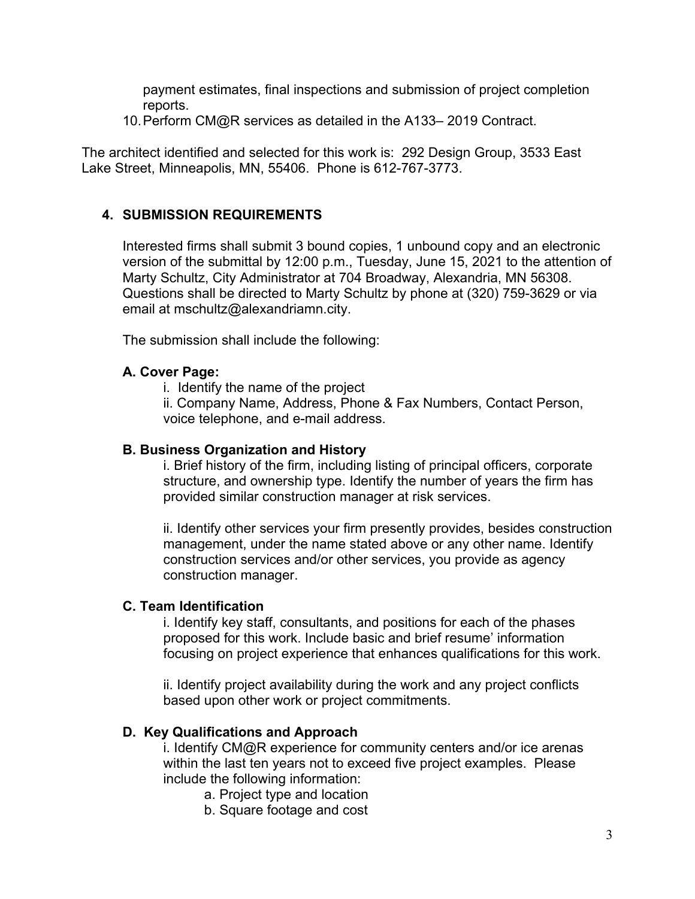payment estimates, final inspections and submission of project completion reports.

10.Perform CM@R services as detailed in the A133– 2019 Contract.

The architect identified and selected for this work is: 292 Design Group, 3533 East Lake Street, Minneapolis, MN, 55406. Phone is 612-767-3773.

# **4. SUBMISSION REQUIREMENTS**

Interested firms shall submit 3 bound copies, 1 unbound copy and an electronic version of the submittal by 12:00 p.m., Tuesday, June 15, 2021 to the attention of Marty Schultz, City Administrator at 704 Broadway, Alexandria, MN 56308. Questions shall be directed to Marty Schultz by phone at (320) 759-3629 or via email at mschultz@alexandriamn.city.

The submission shall include the following:

# **A. Cover Page:**

i. Identify the name of the project

ii. Company Name, Address, Phone & Fax Numbers, Contact Person, voice telephone, and e-mail address.

## **B. Business Organization and History**

i. Brief history of the firm, including listing of principal officers, corporate structure, and ownership type. Identify the number of years the firm has provided similar construction manager at risk services.

ii. Identify other services your firm presently provides, besides construction management, under the name stated above or any other name. Identify construction services and/or other services, you provide as agency construction manager.

# **C. Team Identification**

i. Identify key staff, consultants, and positions for each of the phases proposed for this work. Include basic and brief resume' information focusing on project experience that enhances qualifications for this work.

ii. Identify project availability during the work and any project conflicts based upon other work or project commitments.

# **D. Key Qualifications and Approach**

i. Identify CM@R experience for community centers and/or ice arenas within the last ten years not to exceed five project examples. Please include the following information:

- a. Project type and location
- b. Square footage and cost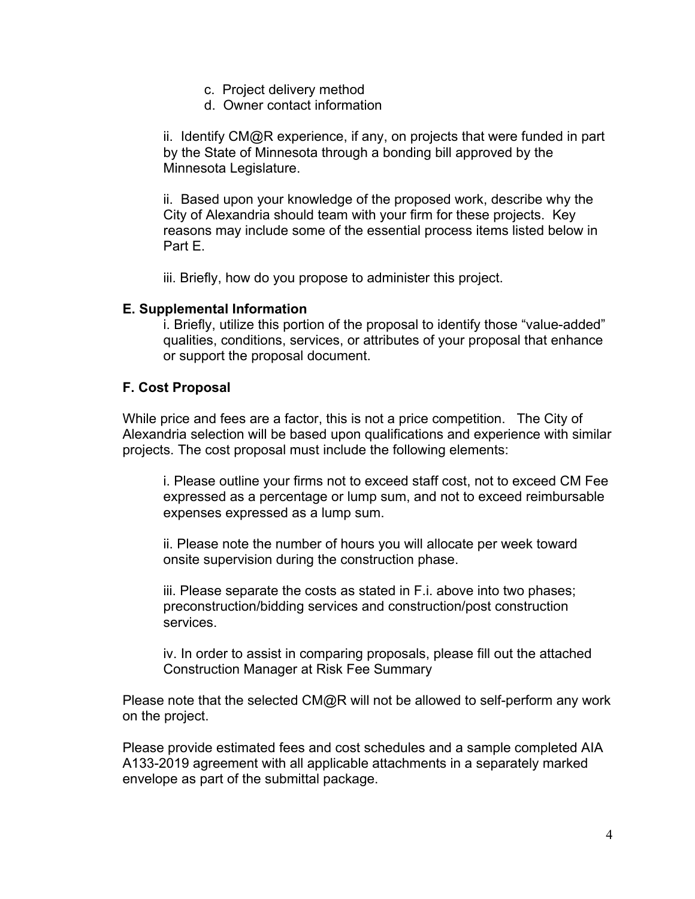- c. Project delivery method
- d. Owner contact information

ii. Identify CM@R experience, if any, on projects that were funded in part by the State of Minnesota through a bonding bill approved by the Minnesota Legislature.

ii. Based upon your knowledge of the proposed work, describe why the City of Alexandria should team with your firm for these projects. Key reasons may include some of the essential process items listed below in Part E.

iii. Briefly, how do you propose to administer this project.

#### **E. Supplemental Information**

i. Briefly, utilize this portion of the proposal to identify those "value-added" qualities, conditions, services, or attributes of your proposal that enhance or support the proposal document.

### **F. Cost Proposal**

While price and fees are a factor, this is not a price competition. The City of Alexandria selection will be based upon qualifications and experience with similar projects. The cost proposal must include the following elements:

i. Please outline your firms not to exceed staff cost, not to exceed CM Fee expressed as a percentage or lump sum, and not to exceed reimbursable expenses expressed as a lump sum.

ii. Please note the number of hours you will allocate per week toward onsite supervision during the construction phase.

iii. Please separate the costs as stated in F.i. above into two phases; preconstruction/bidding services and construction/post construction services.

iv. In order to assist in comparing proposals, please fill out the attached Construction Manager at Risk Fee Summary

Please note that the selected CM@R will not be allowed to self-perform any work on the project.

Please provide estimated fees and cost schedules and a sample completed AIA A133-2019 agreement with all applicable attachments in a separately marked envelope as part of the submittal package.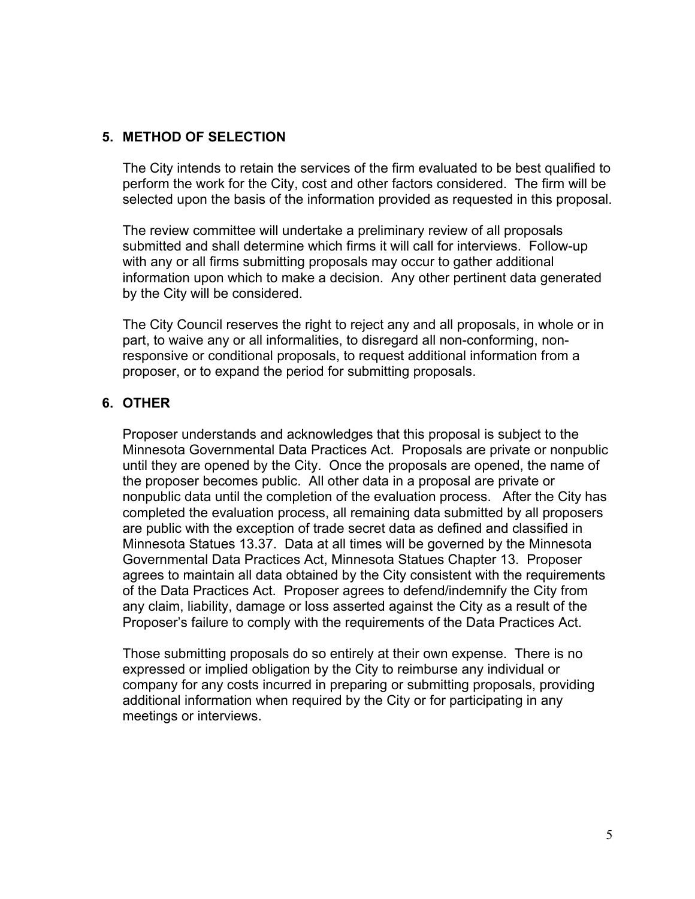### **5. METHOD OF SELECTION**

The City intends to retain the services of the firm evaluated to be best qualified to perform the work for the City, cost and other factors considered. The firm will be selected upon the basis of the information provided as requested in this proposal.

The review committee will undertake a preliminary review of all proposals submitted and shall determine which firms it will call for interviews. Follow-up with any or all firms submitting proposals may occur to gather additional information upon which to make a decision. Any other pertinent data generated by the City will be considered.

The City Council reserves the right to reject any and all proposals, in whole or in part, to waive any or all informalities, to disregard all non-conforming, nonresponsive or conditional proposals, to request additional information from a proposer, or to expand the period for submitting proposals.

# **6. OTHER**

Proposer understands and acknowledges that this proposal is subject to the Minnesota Governmental Data Practices Act. Proposals are private or nonpublic until they are opened by the City. Once the proposals are opened, the name of the proposer becomes public. All other data in a proposal are private or nonpublic data until the completion of the evaluation process. After the City has completed the evaluation process, all remaining data submitted by all proposers are public with the exception of trade secret data as defined and classified in Minnesota Statues 13.37. Data at all times will be governed by the Minnesota Governmental Data Practices Act, Minnesota Statues Chapter 13. Proposer agrees to maintain all data obtained by the City consistent with the requirements of the Data Practices Act. Proposer agrees to defend/indemnify the City from any claim, liability, damage or loss asserted against the City as a result of the Proposer's failure to comply with the requirements of the Data Practices Act.

Those submitting proposals do so entirely at their own expense. There is no expressed or implied obligation by the City to reimburse any individual or company for any costs incurred in preparing or submitting proposals, providing additional information when required by the City or for participating in any meetings or interviews.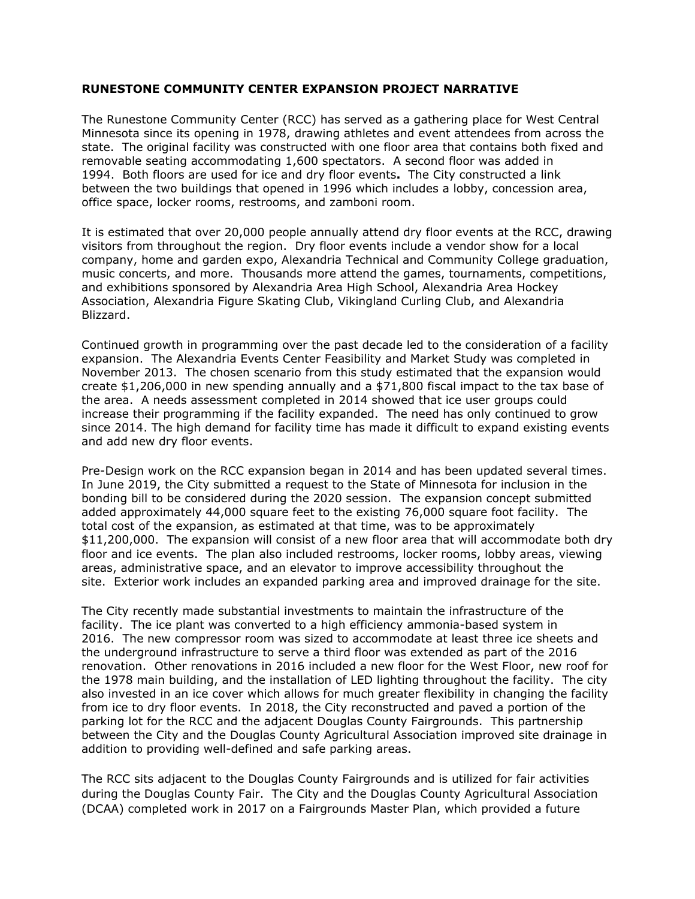#### **RUNESTONE COMMUNITY CENTER EXPANSION PROJECT NARRATIVE**

The Runestone Community Center (RCC) has served as a gathering place for West Central Minnesota since its opening in 1978, drawing athletes and event attendees from across the state. The original facility was constructed with one floor area that contains both fixed and removable seating accommodating 1,600 spectators. A second floor was added in 1994. Both floors are used for ice and dry floor events**.** The City constructed a link between the two buildings that opened in 1996 which includes a lobby, concession area, office space, locker rooms, restrooms, and zamboni room.

It is estimated that over 20,000 people annually attend dry floor events at the RCC, drawing visitors from throughout the region. Dry floor events include a vendor show for a local company, home and garden expo, Alexandria Technical and Community College graduation, music concerts, and more. Thousands more attend the games, tournaments, competitions, and exhibitions sponsored by Alexandria Area High School, Alexandria Area Hockey Association, Alexandria Figure Skating Club, Vikingland Curling Club, and Alexandria Blizzard.

Continued growth in programming over the past decade led to the consideration of a facility expansion. The Alexandria Events Center Feasibility and Market Study was completed in November 2013. The chosen scenario from this study estimated that the expansion would create \$1,206,000 in new spending annually and a \$71,800 fiscal impact to the tax base of the area. A needs assessment completed in 2014 showed that ice user groups could increase their programming if the facility expanded. The need has only continued to grow since 2014. The high demand for facility time has made it difficult to expand existing events and add new dry floor events.

Pre-Design work on the RCC expansion began in 2014 and has been updated several times. In June 2019, the City submitted a request to the State of Minnesota for inclusion in the bonding bill to be considered during the 2020 session. The expansion concept submitted added approximately 44,000 square feet to the existing 76,000 square foot facility. The total cost of the expansion, as estimated at that time, was to be approximately \$11,200,000. The expansion will consist of a new floor area that will accommodate both dry floor and ice events. The plan also included restrooms, locker rooms, lobby areas, viewing areas, administrative space, and an elevator to improve accessibility throughout the site. Exterior work includes an expanded parking area and improved drainage for the site.

The City recently made substantial investments to maintain the infrastructure of the facility. The ice plant was converted to a high efficiency ammonia-based system in 2016. The new compressor room was sized to accommodate at least three ice sheets and the underground infrastructure to serve a third floor was extended as part of the 2016 renovation. Other renovations in 2016 included a new floor for the West Floor, new roof for the 1978 main building, and the installation of LED lighting throughout the facility. The city also invested in an ice cover which allows for much greater flexibility in changing the facility from ice to dry floor events. In 2018, the City reconstructed and paved a portion of the parking lot for the RCC and the adjacent Douglas County Fairgrounds. This partnership between the City and the Douglas County Agricultural Association improved site drainage in addition to providing well-defined and safe parking areas.

The RCC sits adjacent to the Douglas County Fairgrounds and is utilized for fair activities during the Douglas County Fair. The City and the Douglas County Agricultural Association (DCAA) completed work in 2017 on a Fairgrounds Master Plan, which provided a future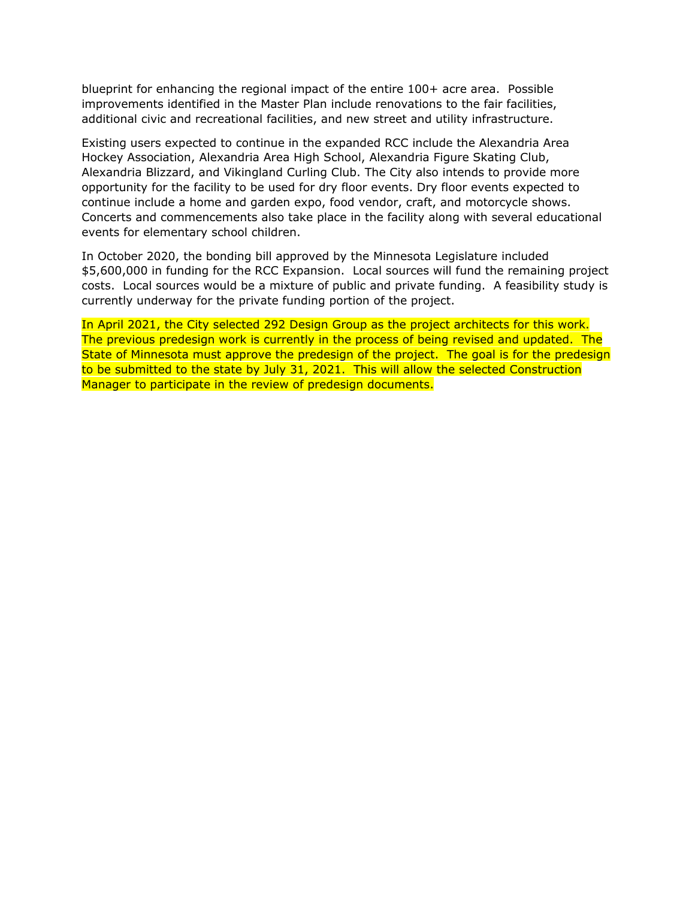blueprint for enhancing the regional impact of the entire 100+ acre area. Possible improvements identified in the Master Plan include renovations to the fair facilities, additional civic and recreational facilities, and new street and utility infrastructure.

Existing users expected to continue in the expanded RCC include the Alexandria Area Hockey Association, Alexandria Area High School, Alexandria Figure Skating Club, Alexandria Blizzard, and Vikingland Curling Club. The City also intends to provide more opportunity for the facility to be used for dry floor events. Dry floor events expected to continue include a home and garden expo, food vendor, craft, and motorcycle shows. Concerts and commencements also take place in the facility along with several educational events for elementary school children.

In October 2020, the bonding bill approved by the Minnesota Legislature included \$5,600,000 in funding for the RCC Expansion. Local sources will fund the remaining project costs. Local sources would be a mixture of public and private funding. A feasibility study is currently underway for the private funding portion of the project.

In April 2021, the City selected 292 Design Group as the project architects for this work. The previous predesign work is currently in the process of being revised and updated. The State of Minnesota must approve the predesign of the project. The goal is for the predesign to be submitted to the state by July 31, 2021. This will allow the selected Construction Manager to participate in the review of predesign documents.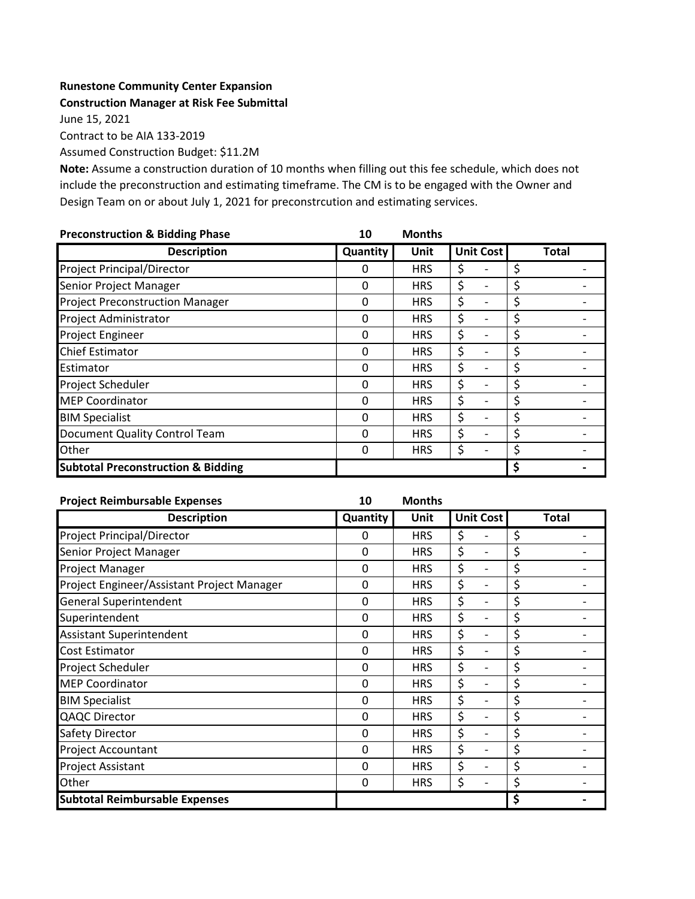#### **Runestone Community Center Expansion**

```
Construction Manager at Risk Fee Submittal
```
June 15, 2021

Contract to be AIA 133-2019

Assumed Construction Budget: \$11.2M

**Note:** Assume a construction duration of 10 months when filling out this fee schedule, which does not include the preconstruction and estimating timeframe. The CM is to be engaged with the Owner and Design Team on or about July 1, 2021 for preconstrcution and estimating services.

| <b>Preconstruction &amp; Bidding Phase</b>    | 10       | <b>Months</b> |                  |              |
|-----------------------------------------------|----------|---------------|------------------|--------------|
| <b>Description</b>                            | Quantity | Unit          | <b>Unit Cost</b> | <b>Total</b> |
| Project Principal/Director                    | 0        | <b>HRS</b>    | \$               | \$           |
| Senior Project Manager                        | 0        | <b>HRS</b>    | \$               | \$           |
| <b>Project Preconstruction Manager</b>        | 0        | <b>HRS</b>    | \$               | \$           |
| Project Administrator                         | 0        | <b>HRS</b>    | \$               | \$           |
| <b>Project Engineer</b>                       | 0        | <b>HRS</b>    | \$               | \$           |
| <b>Chief Estimator</b>                        | 0        | <b>HRS</b>    | \$               | \$           |
| Estimator                                     | 0        | <b>HRS</b>    | \$               | \$           |
| Project Scheduler                             | 0        | <b>HRS</b>    | \$               | \$           |
| <b>MEP Coordinator</b>                        | 0        | <b>HRS</b>    | \$               | \$           |
| <b>BIM Specialist</b>                         | 0        | <b>HRS</b>    | \$               | \$           |
| Document Quality Control Team                 | 0        | <b>HRS</b>    | \$               | \$           |
| Other                                         | 0        | <b>HRS</b>    | \$               | \$           |
| <b>Subtotal Preconstruction &amp; Bidding</b> |          |               |                  | \$           |

| <b>Project Reimbursable Expenses</b>       | 10       | <b>Months</b> |                                    |              |
|--------------------------------------------|----------|---------------|------------------------------------|--------------|
| <b>Description</b>                         | Quantity | Unit          | <b>Unit Cost</b>                   | <b>Total</b> |
| <b>Project Principal/Director</b>          | 0        | <b>HRS</b>    | \$                                 | \$           |
| Senior Project Manager                     | 0        | <b>HRS</b>    | \$<br>$\overline{\phantom{0}}$     | \$           |
| Project Manager                            | 0        | <b>HRS</b>    | \$<br>$\overline{\phantom{0}}$     | \$           |
| Project Engineer/Assistant Project Manager | 0        | <b>HRS</b>    | \$<br>$\overline{\phantom{a}}$     | \$           |
| <b>General Superintendent</b>              | 0        | <b>HRS</b>    | \$<br>$\qquad \qquad -$            | \$           |
| Superintendent                             | 0        | <b>HRS</b>    | \$<br>$\qquad \qquad -$            | \$           |
| <b>Assistant Superintendent</b>            | 0        | <b>HRS</b>    | \$<br>$\overline{\phantom{a}}$     | \$           |
| <b>Cost Estimator</b>                      | 0        | <b>HRS</b>    | \$<br>$\qquad \qquad \blacksquare$ | \$           |
| Project Scheduler                          | 0        | <b>HRS</b>    | \$<br>$\qquad \qquad \blacksquare$ | \$           |
| <b>MEP Coordinator</b>                     | 0        | <b>HRS</b>    | \$<br>$\overline{\phantom{0}}$     | \$           |
| <b>BIM Specialist</b>                      | 0        | <b>HRS</b>    | \$<br>$\qquad \qquad \blacksquare$ | \$           |
| <b>QAQC Director</b>                       | 0        | <b>HRS</b>    | \$<br>$\qquad \qquad \blacksquare$ | \$           |
| Safety Director                            | 0        | <b>HRS</b>    | \$<br>$\qquad \qquad \blacksquare$ | \$           |
| Project Accountant                         | 0        | <b>HRS</b>    | \$<br>$\qquad \qquad \blacksquare$ | \$           |
| <b>Project Assistant</b>                   | 0        | <b>HRS</b>    | \$<br>$\qquad \qquad \blacksquare$ | \$           |
| Other                                      | 0        | <b>HRS</b>    | \$<br>$\overline{\phantom{a}}$     | \$           |
| <b>Subtotal Reimbursable Expenses</b>      |          |               |                                    | \$           |